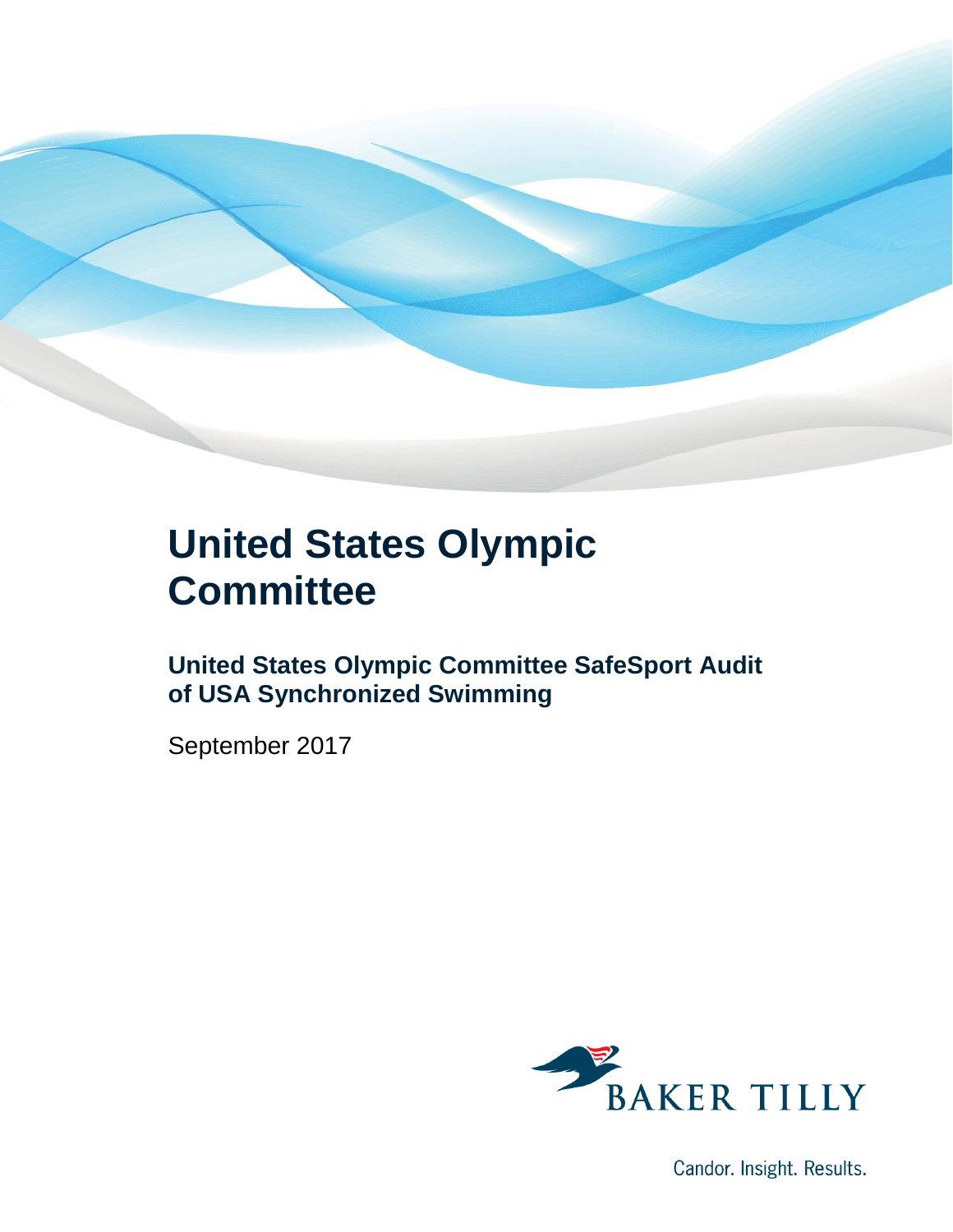

### **United States Olympic Committee**

**United States Olympic Committee SafeSport Audit of USA Synchronized Swimming**

September 2017



Candor. Insight. Results.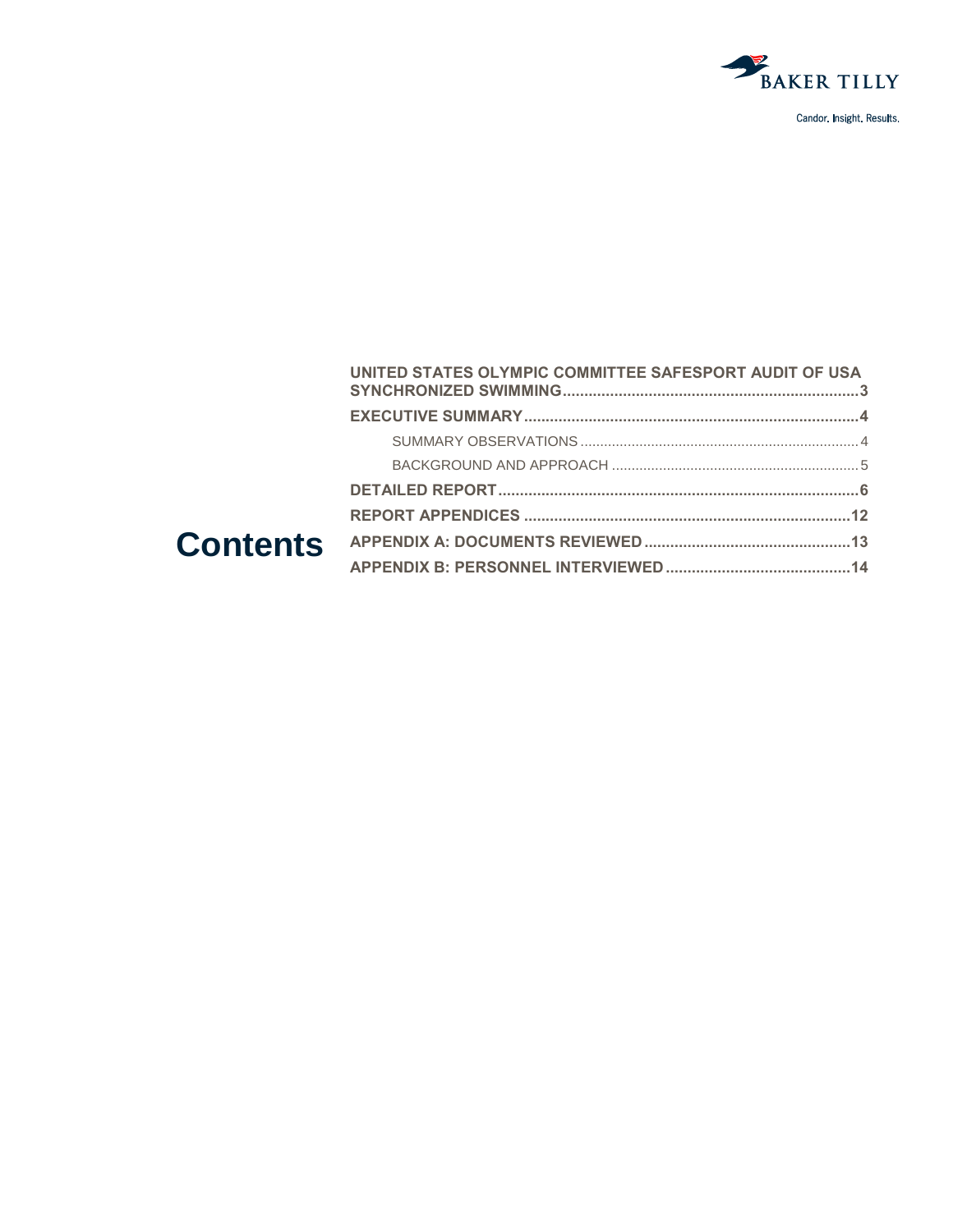

| UNITED STATES OLYMPIC COMMITTEE SAFESPORT AUDIT OF USA |  |
|--------------------------------------------------------|--|
|                                                        |  |
|                                                        |  |
|                                                        |  |
|                                                        |  |
|                                                        |  |
|                                                        |  |
|                                                        |  |
|                                                        |  |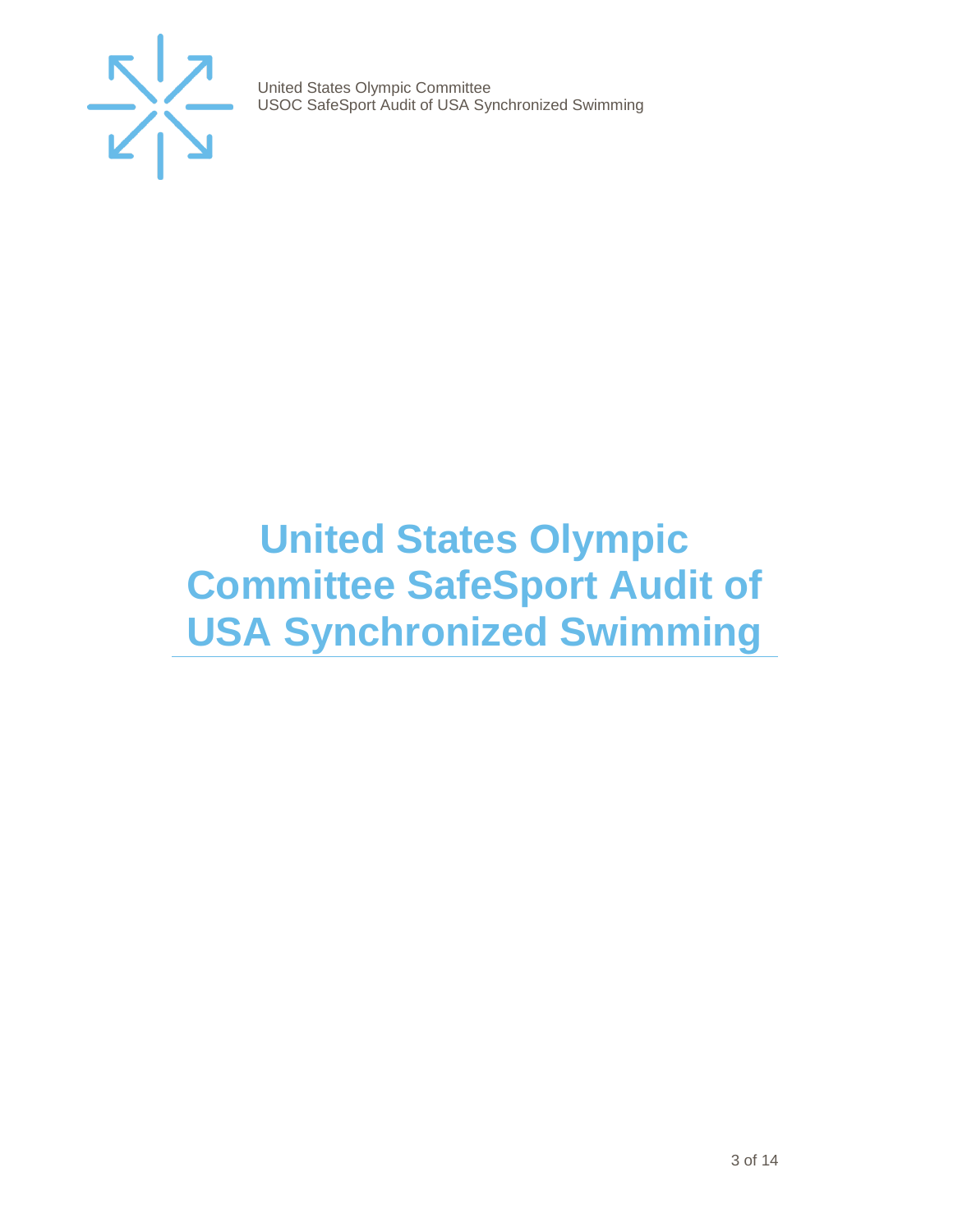

## <span id="page-2-0"></span>**United States Olympic Committee SafeSport Audit of USA Synchronized Swimming**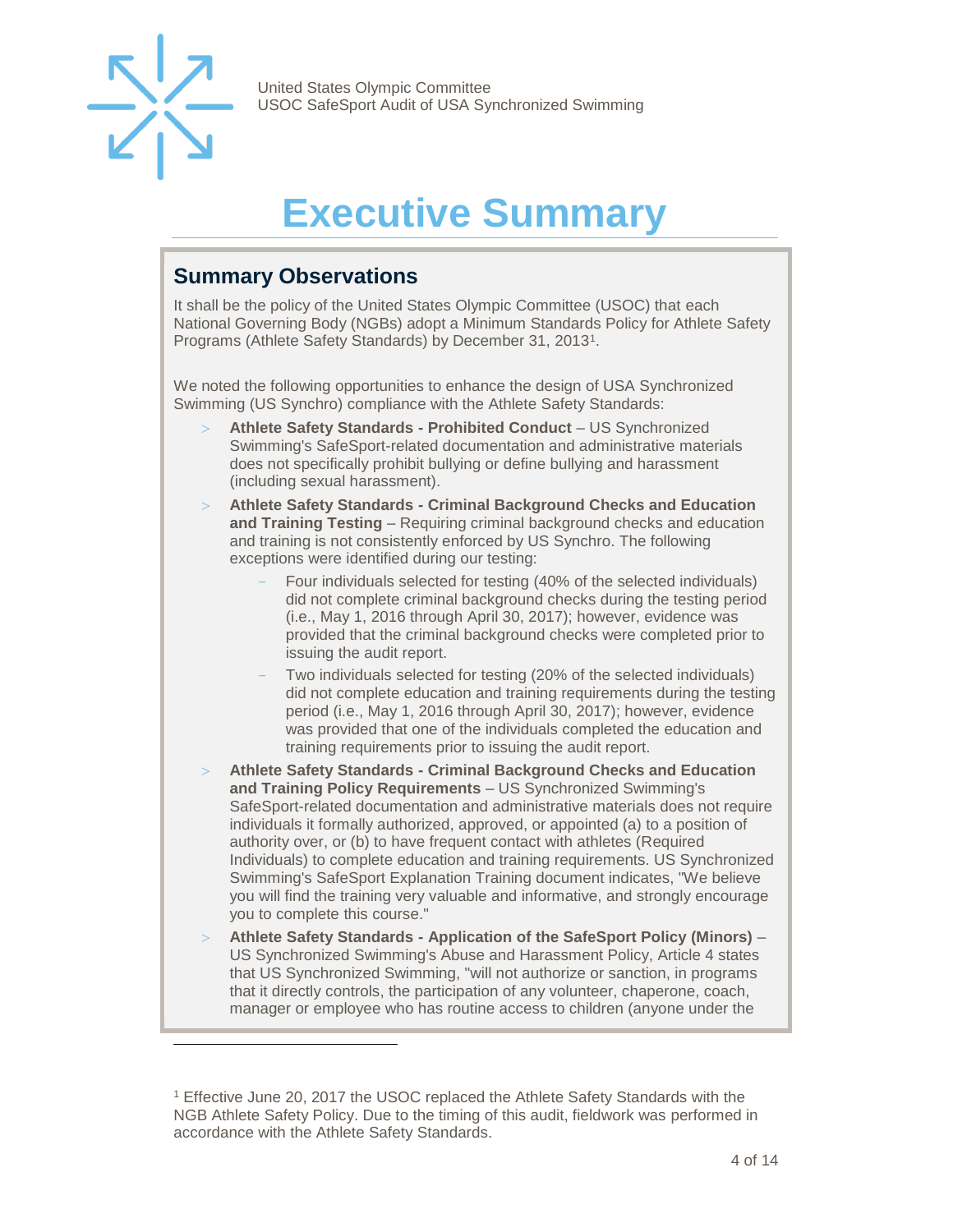

l

United States Olympic Committee USOC SafeSport Audit of USA Synchronized Swimming

## **Executive Summary**

#### <span id="page-3-1"></span><span id="page-3-0"></span>**Summary Observations**

It shall be the policy of the United States Olympic Committee (USOC) that each National Governing Body (NGBs) adopt a Minimum Standards Policy for Athlete Safety Programs (Athlete Safety Standards) by December 31, 2013<sup>1</sup>.

We noted the following opportunities to enhance the design of USA Synchronized Swimming (US Synchro) compliance with the Athlete Safety Standards:

- **Athlete Safety Standards - Prohibited Conduct**  US Synchronized Swimming's SafeSport-related documentation and administrative materials does not specifically prohibit bullying or define bullying and harassment (including sexual harassment).
- **Athlete Safety Standards - Criminal Background Checks and Education and Training Testing** – Requiring criminal background checks and education and training is not consistently enforced by US Synchro. The following exceptions were identified during our testing:
	- Four individuals selected for testing (40% of the selected individuals) did not complete criminal background checks during the testing period (i.e., May 1, 2016 through April 30, 2017); however, evidence was provided that the criminal background checks were completed prior to issuing the audit report.
	- Two individuals selected for testing (20% of the selected individuals) did not complete education and training requirements during the testing period (i.e., May 1, 2016 through April 30, 2017); however, evidence was provided that one of the individuals completed the education and training requirements prior to issuing the audit report.
- **Athlete Safety Standards - Criminal Background Checks and Education and Training Policy Requirements** – US Synchronized Swimming's SafeSport-related documentation and administrative materials does not require individuals it formally authorized, approved, or appointed (a) to a position of authority over, or (b) to have frequent contact with athletes (Required Individuals) to complete education and training requirements. US Synchronized Swimming's SafeSport Explanation Training document indicates, "We believe you will find the training very valuable and informative, and strongly encourage you to complete this course."
- **Athlete Safety Standards - Application of the SafeSport Policy (Minors)**  US Synchronized Swimming's Abuse and Harassment Policy, Article 4 states that US Synchronized Swimming, "will not authorize or sanction, in programs that it directly controls, the participation of any volunteer, chaperone, coach, manager or employee who has routine access to children (anyone under the

<sup>1</sup> Effective June 20, 2017 the USOC replaced the Athlete Safety Standards with the NGB Athlete Safety Policy. Due to the timing of this audit, fieldwork was performed in accordance with the Athlete Safety Standards.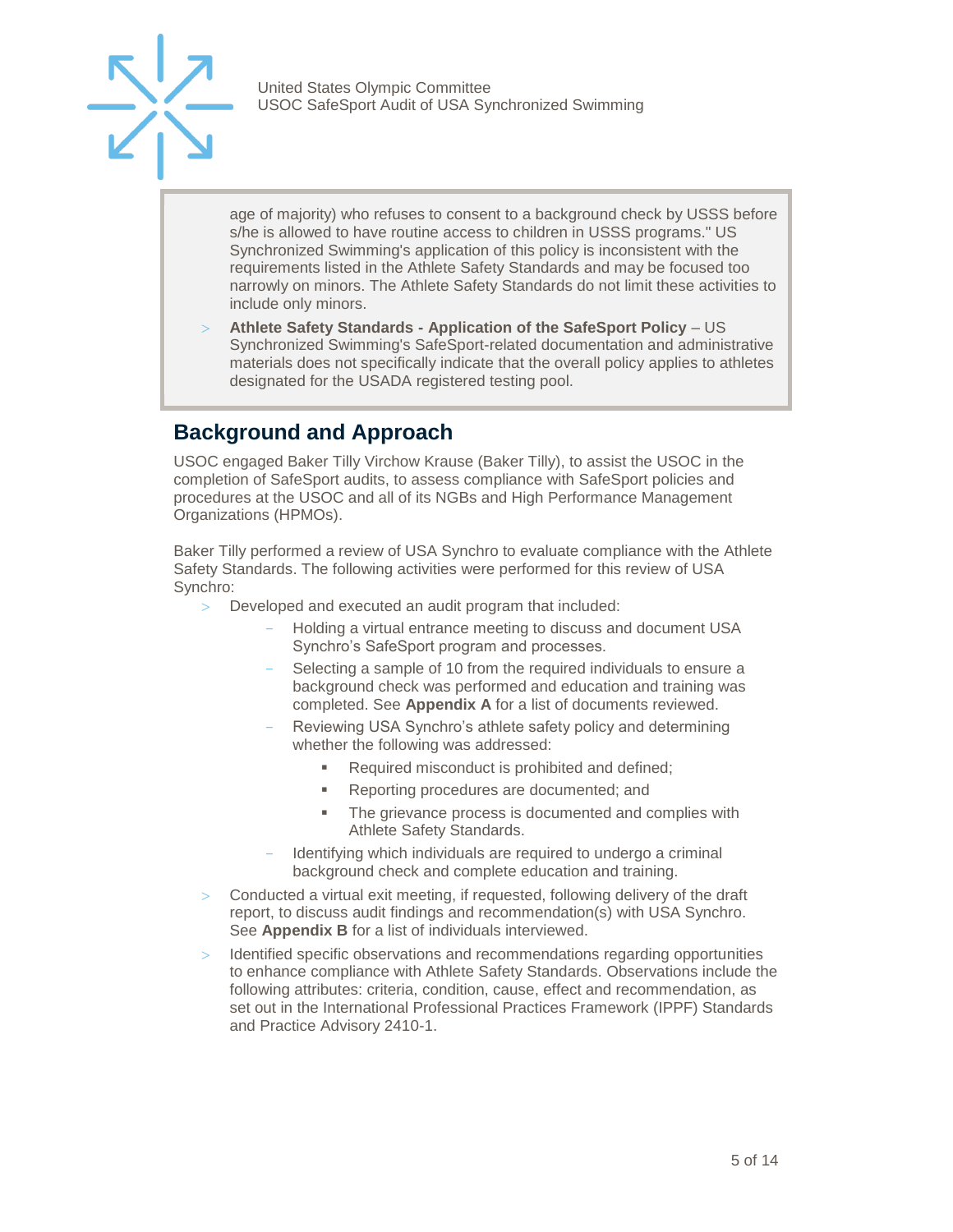

age of majority) who refuses to consent to a background check by USSS before s/he is allowed to have routine access to children in USSS programs." US Synchronized Swimming's application of this policy is inconsistent with the requirements listed in the Athlete Safety Standards and may be focused too narrowly on minors. The Athlete Safety Standards do not limit these activities to include only minors.

 **Athlete Safety Standards - Application of the SafeSport Policy** – US Synchronized Swimming's SafeSport-related documentation and administrative materials does not specifically indicate that the overall policy applies to athletes designated for the USADA registered testing pool.

#### <span id="page-4-0"></span>**Background and Approach**

USOC engaged Baker Tilly Virchow Krause (Baker Tilly), to assist the USOC in the completion of SafeSport audits, to assess compliance with SafeSport policies and procedures at the USOC and all of its NGBs and High Performance Management Organizations (HPMOs).

Baker Tilly performed a review of USA Synchro to evaluate compliance with the Athlete Safety Standards. The following activities were performed for this review of USA Synchro:

- Developed and executed an audit program that included:
	- Holding a virtual entrance meeting to discuss and document USA Synchro's SafeSport program and processes.
	- Selecting a sample of 10 from the required individuals to ensure a background check was performed and education and training was completed. See **Appendix A** for a list of documents reviewed.
	- Reviewing USA Synchro's athlete safety policy and determining whether the following was addressed:
		- Required misconduct is prohibited and defined;
		- Reporting procedures are documented; and
		- The grievance process is documented and complies with Athlete Safety Standards.
	- Identifying which individuals are required to undergo a criminal background check and complete education and training.
- Conducted a virtual exit meeting, if requested, following delivery of the draft report, to discuss audit findings and recommendation(s) with USA Synchro. See **Appendix B** for a list of individuals interviewed.
- Identified specific observations and recommendations regarding opportunities to enhance compliance with Athlete Safety Standards. Observations include the following attributes: criteria, condition, cause, effect and recommendation, as set out in the International Professional Practices Framework (IPPF) Standards and Practice Advisory 2410-1.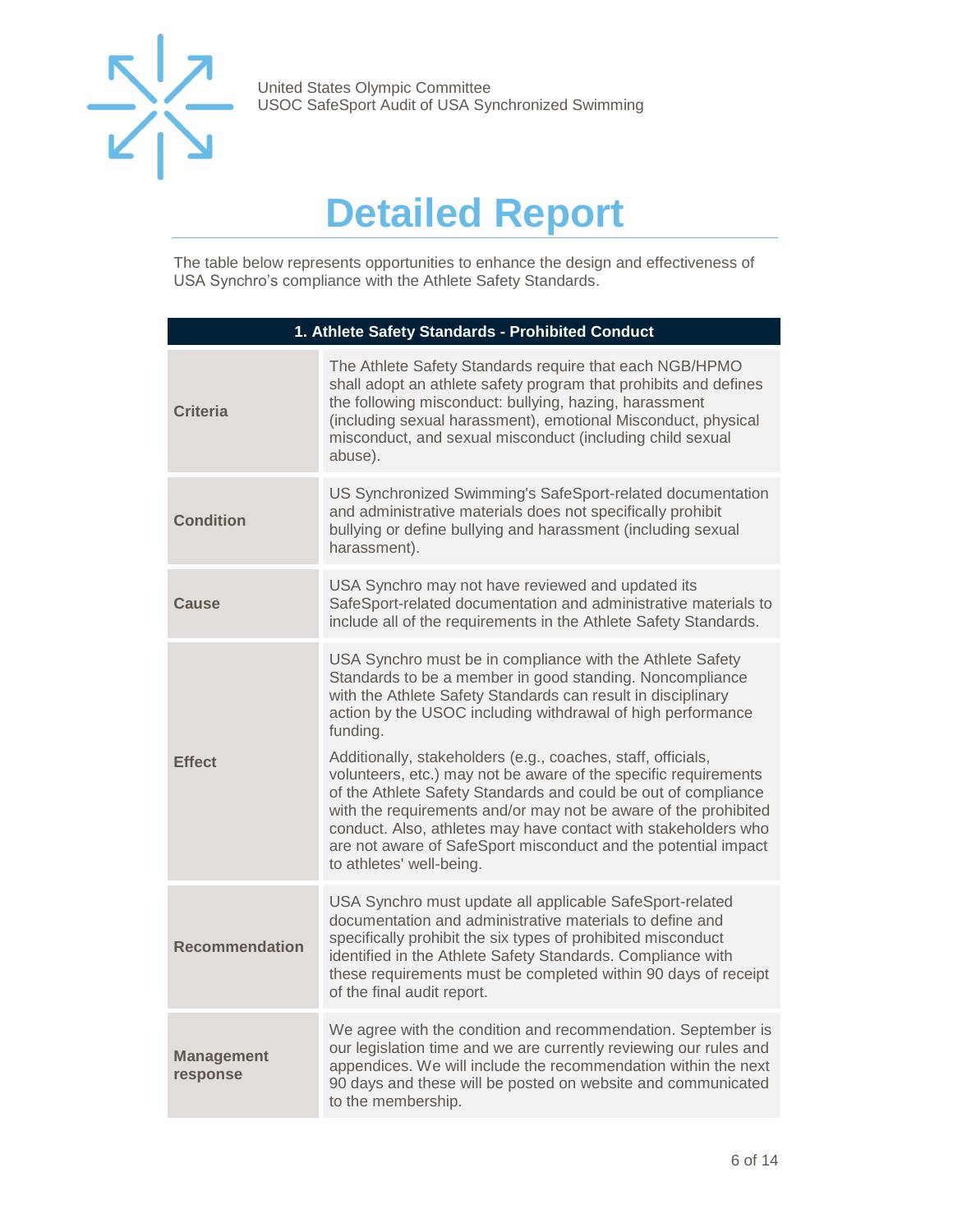

### **Detailed Report**

<span id="page-5-0"></span>The table below represents opportunities to enhance the design and effectiveness of USA Synchro's compliance with the Athlete Safety Standards.

| 1. Athlete Safety Standards - Prohibited Conduct |                                                                                                                                                                                                                                                                                                                                                                                                                                                                                                                                                                                                                                                                                                          |
|--------------------------------------------------|----------------------------------------------------------------------------------------------------------------------------------------------------------------------------------------------------------------------------------------------------------------------------------------------------------------------------------------------------------------------------------------------------------------------------------------------------------------------------------------------------------------------------------------------------------------------------------------------------------------------------------------------------------------------------------------------------------|
| <b>Criteria</b>                                  | The Athlete Safety Standards require that each NGB/HPMO<br>shall adopt an athlete safety program that prohibits and defines<br>the following misconduct: bullying, hazing, harassment<br>(including sexual harassment), emotional Misconduct, physical<br>misconduct, and sexual misconduct (including child sexual<br>abuse).                                                                                                                                                                                                                                                                                                                                                                           |
| <b>Condition</b>                                 | US Synchronized Swimming's SafeSport-related documentation<br>and administrative materials does not specifically prohibit<br>bullying or define bullying and harassment (including sexual<br>harassment).                                                                                                                                                                                                                                                                                                                                                                                                                                                                                                |
| Cause                                            | USA Synchro may not have reviewed and updated its<br>SafeSport-related documentation and administrative materials to<br>include all of the requirements in the Athlete Safety Standards.                                                                                                                                                                                                                                                                                                                                                                                                                                                                                                                 |
| <b>Effect</b>                                    | USA Synchro must be in compliance with the Athlete Safety<br>Standards to be a member in good standing. Noncompliance<br>with the Athlete Safety Standards can result in disciplinary<br>action by the USOC including withdrawal of high performance<br>funding.<br>Additionally, stakeholders (e.g., coaches, staff, officials,<br>volunteers, etc.) may not be aware of the specific requirements<br>of the Athlete Safety Standards and could be out of compliance<br>with the requirements and/or may not be aware of the prohibited<br>conduct. Also, athletes may have contact with stakeholders who<br>are not aware of SafeSport misconduct and the potential impact<br>to athletes' well-being. |
| <b>Recommendation</b>                            | USA Synchro must update all applicable SafeSport-related<br>documentation and administrative materials to define and<br>specifically prohibit the six types of prohibited misconduct<br>identified in the Athlete Safety Standards. Compliance with<br>these requirements must be completed within 90 days of receipt<br>of the final audit report.                                                                                                                                                                                                                                                                                                                                                      |
| <b>Management</b><br>response                    | We agree with the condition and recommendation. September is<br>our legislation time and we are currently reviewing our rules and<br>appendices. We will include the recommendation within the next<br>90 days and these will be posted on website and communicated<br>to the membership.                                                                                                                                                                                                                                                                                                                                                                                                                |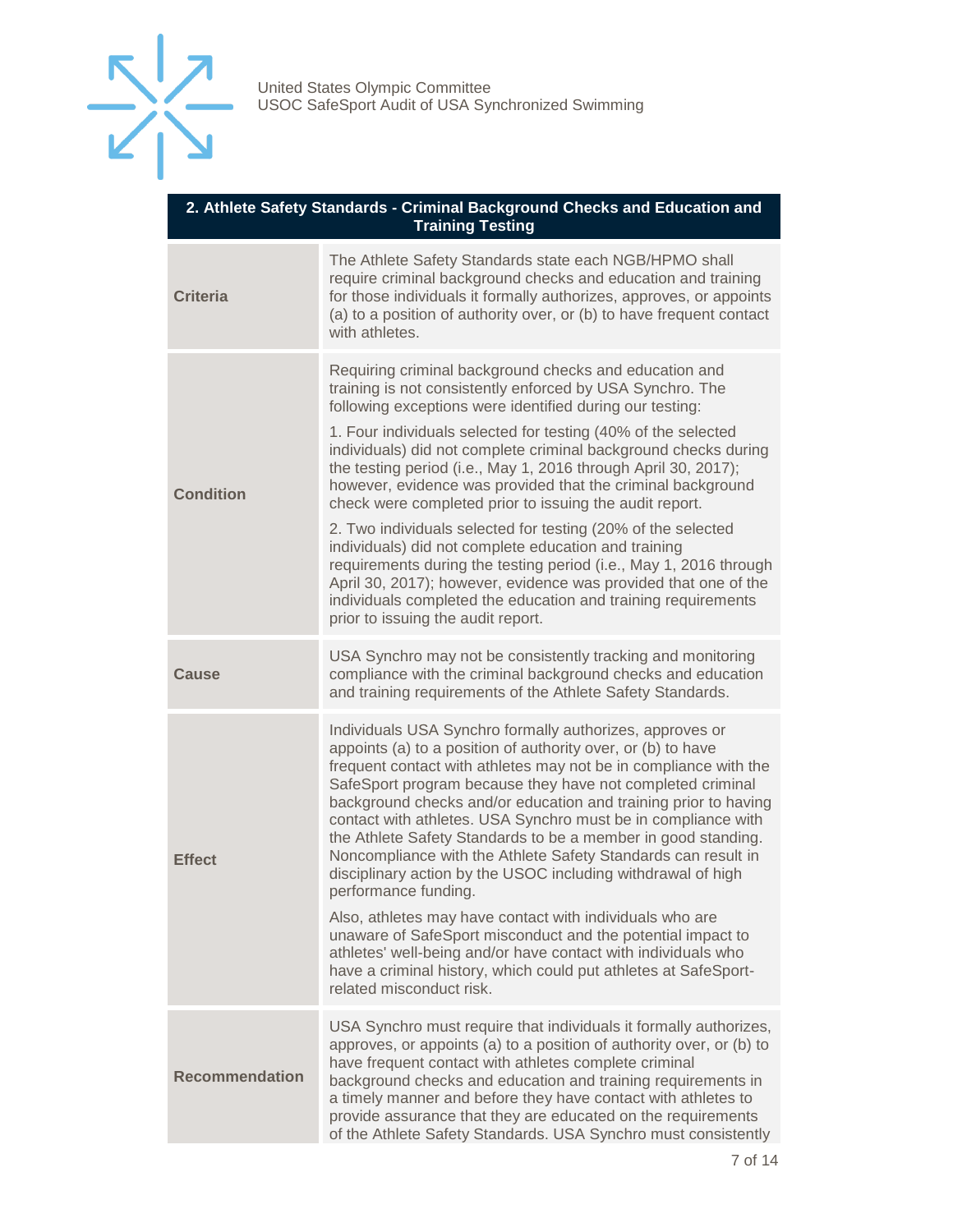

| 2. Athlete Safety Standards - Criminal Background Checks and Education and<br><b>Training Testing</b> |                                                                                                                                                                                                                                                                                                                                                                                                                                                                                                                                                                                                                                                                                                                                                                                                                                                                                        |  |
|-------------------------------------------------------------------------------------------------------|----------------------------------------------------------------------------------------------------------------------------------------------------------------------------------------------------------------------------------------------------------------------------------------------------------------------------------------------------------------------------------------------------------------------------------------------------------------------------------------------------------------------------------------------------------------------------------------------------------------------------------------------------------------------------------------------------------------------------------------------------------------------------------------------------------------------------------------------------------------------------------------|--|
| <b>Criteria</b>                                                                                       | The Athlete Safety Standards state each NGB/HPMO shall<br>require criminal background checks and education and training<br>for those individuals it formally authorizes, approves, or appoints<br>(a) to a position of authority over, or (b) to have frequent contact<br>with athletes.                                                                                                                                                                                                                                                                                                                                                                                                                                                                                                                                                                                               |  |
| <b>Condition</b>                                                                                      | Requiring criminal background checks and education and<br>training is not consistently enforced by USA Synchro. The<br>following exceptions were identified during our testing:<br>1. Four individuals selected for testing (40% of the selected<br>individuals) did not complete criminal background checks during<br>the testing period (i.e., May 1, 2016 through April 30, 2017);<br>however, evidence was provided that the criminal background<br>check were completed prior to issuing the audit report.<br>2. Two individuals selected for testing (20% of the selected<br>individuals) did not complete education and training<br>requirements during the testing period (i.e., May 1, 2016 through<br>April 30, 2017); however, evidence was provided that one of the<br>individuals completed the education and training requirements<br>prior to issuing the audit report. |  |
| Cause                                                                                                 | USA Synchro may not be consistently tracking and monitoring<br>compliance with the criminal background checks and education<br>and training requirements of the Athlete Safety Standards.                                                                                                                                                                                                                                                                                                                                                                                                                                                                                                                                                                                                                                                                                              |  |
| <b>Effect</b>                                                                                         | Individuals USA Synchro formally authorizes, approves or<br>appoints (a) to a position of authority over, or (b) to have<br>frequent contact with athletes may not be in compliance with the<br>SafeSport program because they have not completed criminal<br>background checks and/or education and training prior to having<br>contact with athletes. USA Synchro must be in compliance with<br>the Athlete Safety Standards to be a member in good standing.<br>Noncompliance with the Athlete Safety Standards can result in<br>disciplinary action by the USOC including withdrawal of high<br>performance funding.<br>Also, athletes may have contact with individuals who are<br>unaware of SafeSport misconduct and the potential impact to                                                                                                                                    |  |
|                                                                                                       | athletes' well-being and/or have contact with individuals who<br>have a criminal history, which could put athletes at SafeSport-<br>related misconduct risk.                                                                                                                                                                                                                                                                                                                                                                                                                                                                                                                                                                                                                                                                                                                           |  |
| <b>Recommendation</b>                                                                                 | USA Synchro must require that individuals it formally authorizes,<br>approves, or appoints (a) to a position of authority over, or (b) to<br>have frequent contact with athletes complete criminal<br>background checks and education and training requirements in<br>a timely manner and before they have contact with athletes to<br>provide assurance that they are educated on the requirements<br>of the Athlete Safety Standards. USA Synchro must consistently                                                                                                                                                                                                                                                                                                                                                                                                                  |  |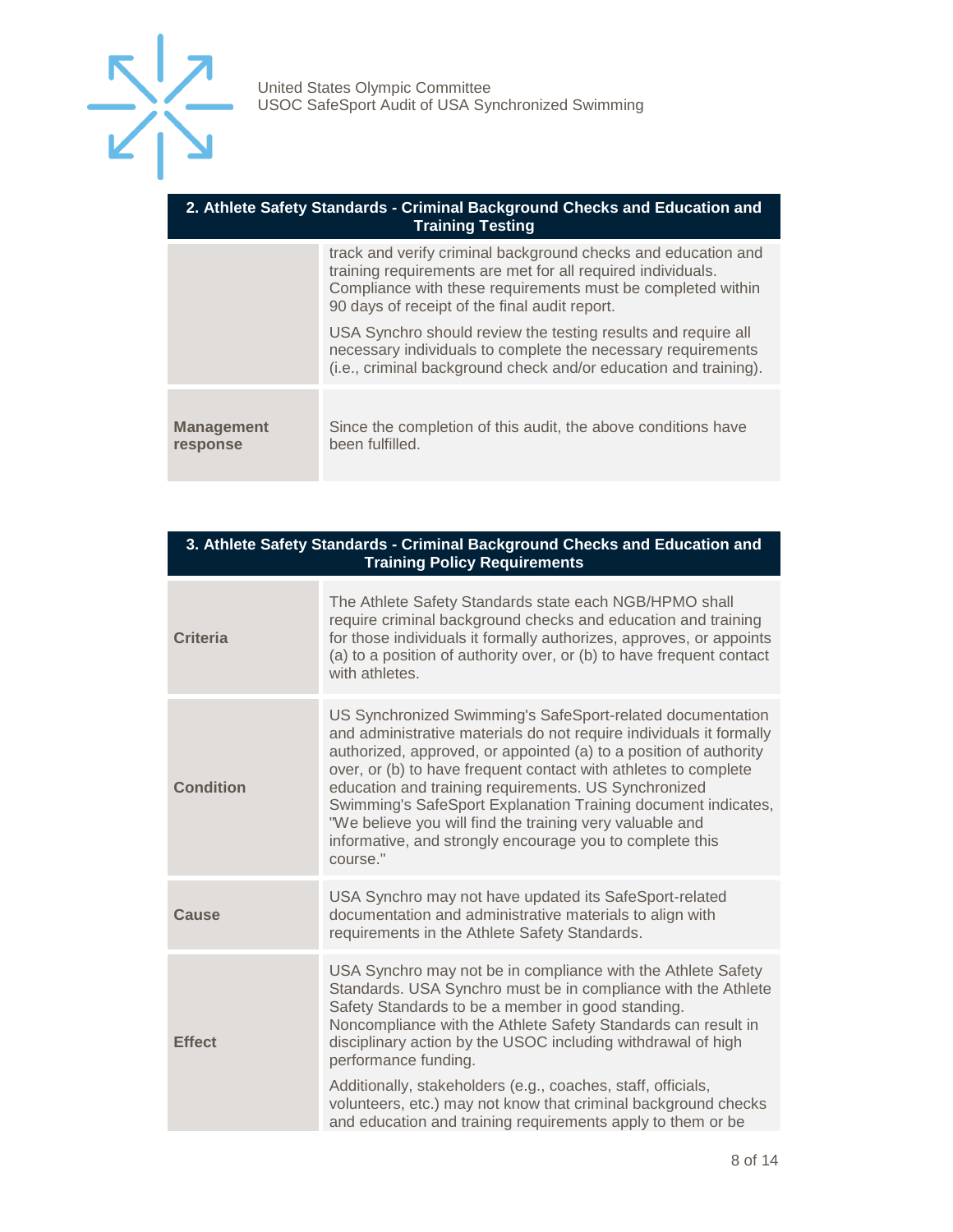

| 2. Athlete Safety Standards - Criminal Background Checks and Education and<br><b>Training Testing</b> |                                                                                                                                                                                                                                              |  |
|-------------------------------------------------------------------------------------------------------|----------------------------------------------------------------------------------------------------------------------------------------------------------------------------------------------------------------------------------------------|--|
|                                                                                                       | track and verify criminal background checks and education and<br>training requirements are met for all required individuals.<br>Compliance with these requirements must be completed within<br>90 days of receipt of the final audit report. |  |
|                                                                                                       | USA Synchro should review the testing results and require all<br>necessary individuals to complete the necessary requirements<br>(i.e., criminal background check and/or education and training).                                            |  |
| <b>Management</b><br>response                                                                         | Since the completion of this audit, the above conditions have<br>been fulfilled.                                                                                                                                                             |  |

| 3. Athlete Safety Standards - Criminal Background Checks and Education and<br><b>Training Policy Requirements</b> |                                                                                                                                                                                                                                                                                                                                                                                                                                                                                                                                              |  |
|-------------------------------------------------------------------------------------------------------------------|----------------------------------------------------------------------------------------------------------------------------------------------------------------------------------------------------------------------------------------------------------------------------------------------------------------------------------------------------------------------------------------------------------------------------------------------------------------------------------------------------------------------------------------------|--|
| <b>Criteria</b>                                                                                                   | The Athlete Safety Standards state each NGB/HPMO shall<br>require criminal background checks and education and training<br>for those individuals it formally authorizes, approves, or appoints<br>(a) to a position of authority over, or (b) to have frequent contact<br>with athletes.                                                                                                                                                                                                                                                     |  |
| <b>Condition</b>                                                                                                  | US Synchronized Swimming's SafeSport-related documentation<br>and administrative materials do not require individuals it formally<br>authorized, approved, or appointed (a) to a position of authority<br>over, or (b) to have frequent contact with athletes to complete<br>education and training requirements. US Synchronized<br>Swimming's SafeSport Explanation Training document indicates,<br>"We believe you will find the training very valuable and<br>informative, and strongly encourage you to complete this<br>course."       |  |
| Cause                                                                                                             | USA Synchro may not have updated its SafeSport-related<br>documentation and administrative materials to align with<br>requirements in the Athlete Safety Standards.                                                                                                                                                                                                                                                                                                                                                                          |  |
| <b>Effect</b>                                                                                                     | USA Synchro may not be in compliance with the Athlete Safety<br>Standards. USA Synchro must be in compliance with the Athlete<br>Safety Standards to be a member in good standing.<br>Noncompliance with the Athlete Safety Standards can result in<br>disciplinary action by the USOC including withdrawal of high<br>performance funding.<br>Additionally, stakeholders (e.g., coaches, staff, officials,<br>volunteers, etc.) may not know that criminal background checks<br>and education and training requirements apply to them or be |  |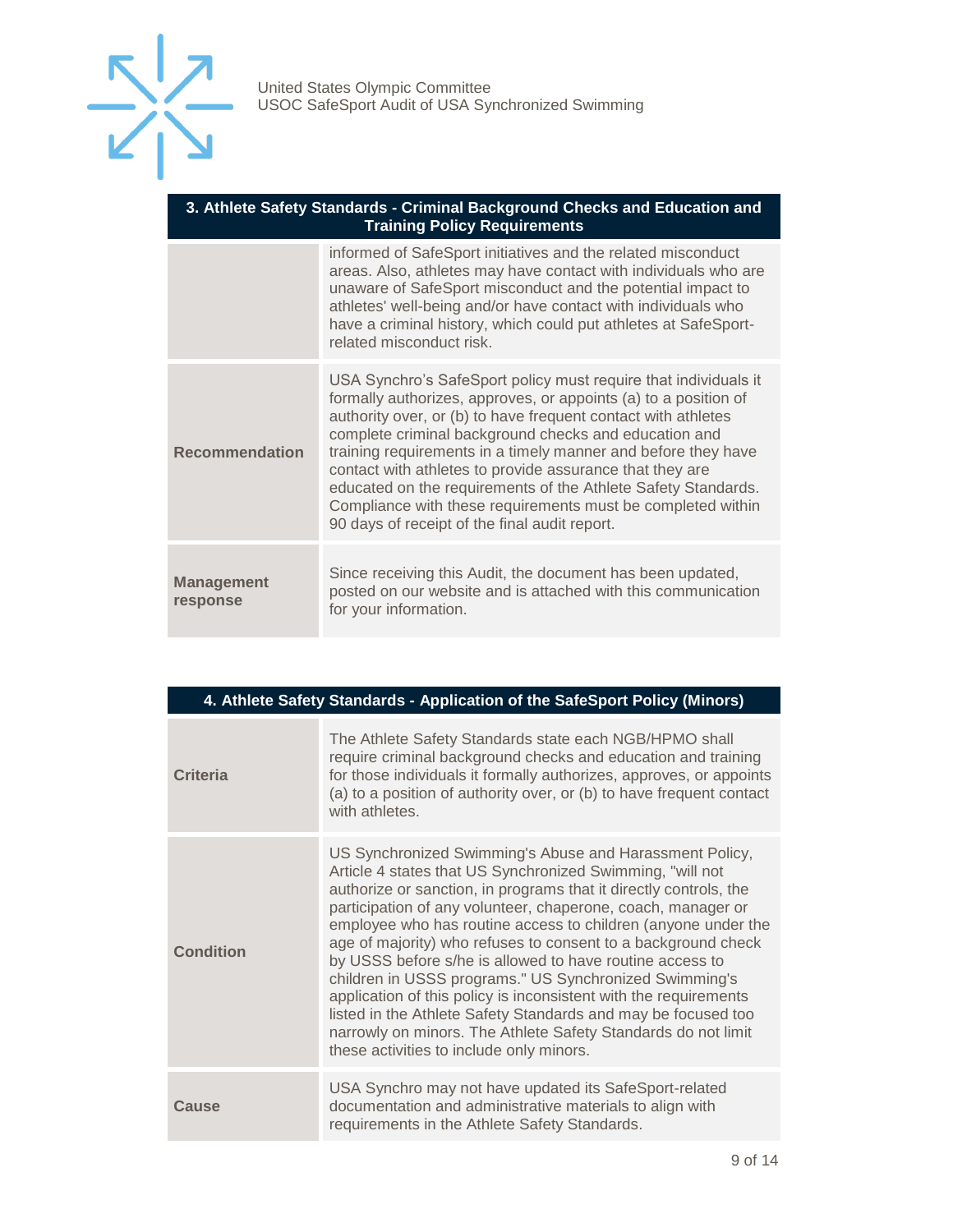

| 3. Athlete Safety Standards - Criminal Background Checks and Education and<br><b>Training Policy Requirements</b> |                                                                                                                                                                                                                                                                                                                                                                                                                                                                                                                                                                            |  |
|-------------------------------------------------------------------------------------------------------------------|----------------------------------------------------------------------------------------------------------------------------------------------------------------------------------------------------------------------------------------------------------------------------------------------------------------------------------------------------------------------------------------------------------------------------------------------------------------------------------------------------------------------------------------------------------------------------|--|
|                                                                                                                   | informed of SafeSport initiatives and the related misconduct<br>areas. Also, athletes may have contact with individuals who are<br>unaware of SafeSport misconduct and the potential impact to<br>athletes' well-being and/or have contact with individuals who<br>have a criminal history, which could put athletes at SafeSport-<br>related misconduct risk.                                                                                                                                                                                                             |  |
| <b>Recommendation</b>                                                                                             | USA Synchro's SafeSport policy must require that individuals it<br>formally authorizes, approves, or appoints (a) to a position of<br>authority over, or (b) to have frequent contact with athletes<br>complete criminal background checks and education and<br>training requirements in a timely manner and before they have<br>contact with athletes to provide assurance that they are<br>educated on the requirements of the Athlete Safety Standards.<br>Compliance with these requirements must be completed within<br>90 days of receipt of the final audit report. |  |
| <b>Management</b><br>response                                                                                     | Since receiving this Audit, the document has been updated,<br>posted on our website and is attached with this communication<br>for your information.                                                                                                                                                                                                                                                                                                                                                                                                                       |  |

|           | 4. Athlete Safety Standards - Application of the SafeSport Policy (Minors)                                                                                                                                                                                                                                                                                                                                                                                                                                                                                                                                                                                                                                                                                          |  |
|-----------|---------------------------------------------------------------------------------------------------------------------------------------------------------------------------------------------------------------------------------------------------------------------------------------------------------------------------------------------------------------------------------------------------------------------------------------------------------------------------------------------------------------------------------------------------------------------------------------------------------------------------------------------------------------------------------------------------------------------------------------------------------------------|--|
| Criteria  | The Athlete Safety Standards state each NGB/HPMO shall<br>require criminal background checks and education and training<br>for those individuals it formally authorizes, approves, or appoints<br>(a) to a position of authority over, or (b) to have frequent contact<br>with athletes.                                                                                                                                                                                                                                                                                                                                                                                                                                                                            |  |
| Condition | US Synchronized Swimming's Abuse and Harassment Policy,<br>Article 4 states that US Synchronized Swimming, "will not<br>authorize or sanction, in programs that it directly controls, the<br>participation of any volunteer, chaperone, coach, manager or<br>employee who has routine access to children (anyone under the<br>age of majority) who refuses to consent to a background check<br>by USSS before s/he is allowed to have routine access to<br>children in USSS programs." US Synchronized Swimming's<br>application of this policy is inconsistent with the requirements<br>listed in the Athlete Safety Standards and may be focused too<br>narrowly on minors. The Athlete Safety Standards do not limit<br>these activities to include only minors. |  |
| Cause     | USA Synchro may not have updated its SafeSport-related<br>documentation and administrative materials to align with<br>requirements in the Athlete Safety Standards.                                                                                                                                                                                                                                                                                                                                                                                                                                                                                                                                                                                                 |  |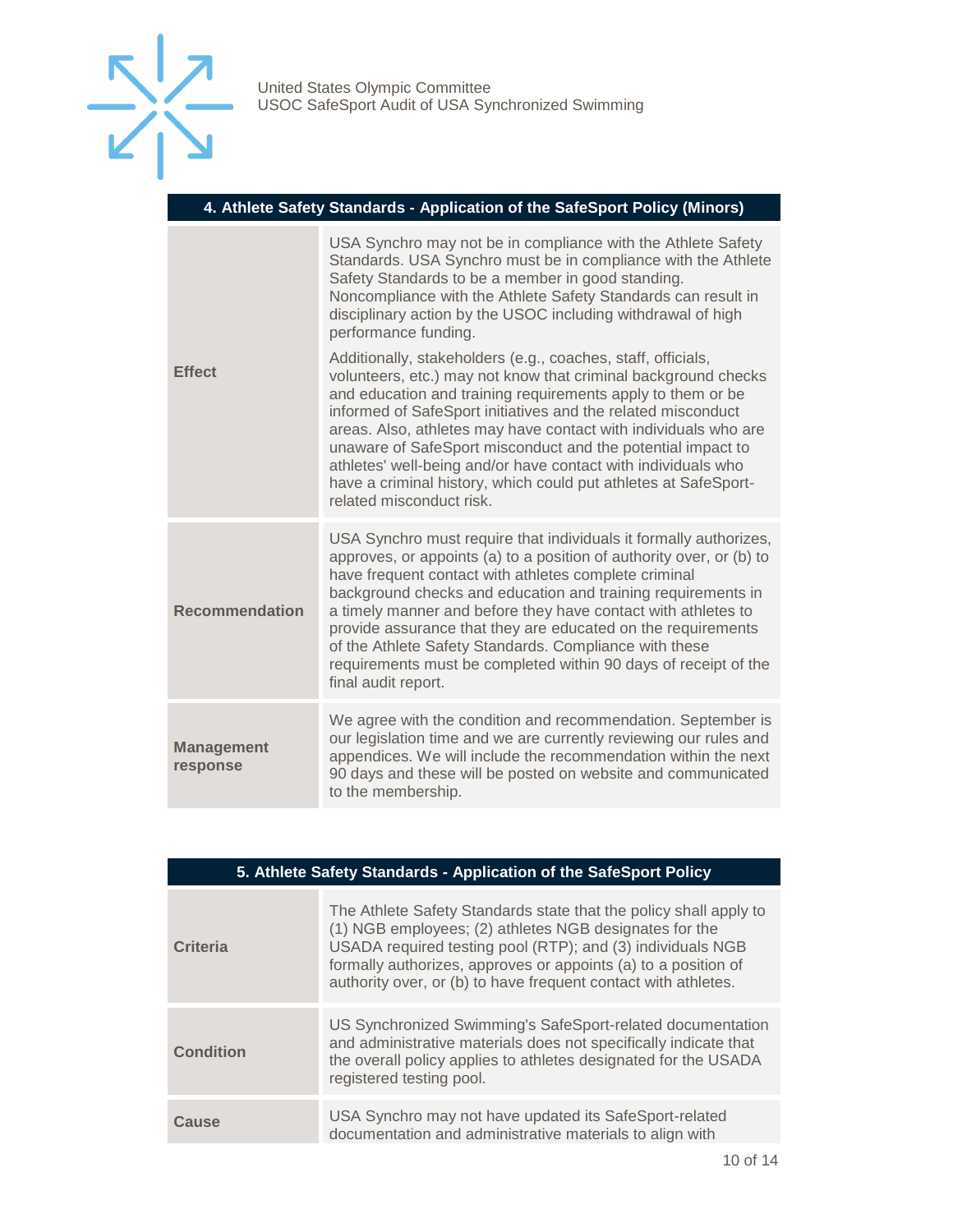

|  | 4. Athlete Safety Standards - Application of the SafeSport Policy (Minors) |  |
|--|----------------------------------------------------------------------------|--|
|  |                                                                            |  |

| <b>Effect</b>                 | USA Synchro may not be in compliance with the Athlete Safety<br>Standards. USA Synchro must be in compliance with the Athlete<br>Safety Standards to be a member in good standing.<br>Noncompliance with the Athlete Safety Standards can result in<br>disciplinary action by the USOC including withdrawal of high<br>performance funding.                                                                                                                                                                                                                     |
|-------------------------------|-----------------------------------------------------------------------------------------------------------------------------------------------------------------------------------------------------------------------------------------------------------------------------------------------------------------------------------------------------------------------------------------------------------------------------------------------------------------------------------------------------------------------------------------------------------------|
|                               | Additionally, stakeholders (e.g., coaches, staff, officials,<br>volunteers, etc.) may not know that criminal background checks<br>and education and training requirements apply to them or be<br>informed of SafeSport initiatives and the related misconduct<br>areas. Also, athletes may have contact with individuals who are<br>unaware of SafeSport misconduct and the potential impact to<br>athletes' well-being and/or have contact with individuals who<br>have a criminal history, which could put athletes at SafeSport-<br>related misconduct risk. |
| <b>Recommendation</b>         | USA Synchro must require that individuals it formally authorizes,<br>approves, or appoints (a) to a position of authority over, or (b) to<br>have frequent contact with athletes complete criminal<br>background checks and education and training requirements in<br>a timely manner and before they have contact with athletes to<br>provide assurance that they are educated on the requirements<br>of the Athlete Safety Standards. Compliance with these<br>requirements must be completed within 90 days of receipt of the<br>final audit report.         |
| <b>Management</b><br>response | We agree with the condition and recommendation. September is<br>our legislation time and we are currently reviewing our rules and<br>appendices. We will include the recommendation within the next<br>90 days and these will be posted on website and communicated<br>to the membership.                                                                                                                                                                                                                                                                       |

| 5. Athlete Safety Standards - Application of the SafeSport Policy |                                                                                                                                                                                                                                                                                                                               |  |
|-------------------------------------------------------------------|-------------------------------------------------------------------------------------------------------------------------------------------------------------------------------------------------------------------------------------------------------------------------------------------------------------------------------|--|
| <b>Criteria</b>                                                   | The Athlete Safety Standards state that the policy shall apply to<br>(1) NGB employees; (2) athletes NGB designates for the<br>USADA required testing pool (RTP); and (3) individuals NGB<br>formally authorizes, approves or appoints (a) to a position of<br>authority over, or (b) to have frequent contact with athletes. |  |
| <b>Condition</b>                                                  | US Synchronized Swimming's SafeSport-related documentation<br>and administrative materials does not specifically indicate that<br>the overall policy applies to athletes designated for the USADA<br>registered testing pool.                                                                                                 |  |
| Cause                                                             | USA Synchro may not have updated its SafeSport-related<br>documentation and administrative materials to align with                                                                                                                                                                                                            |  |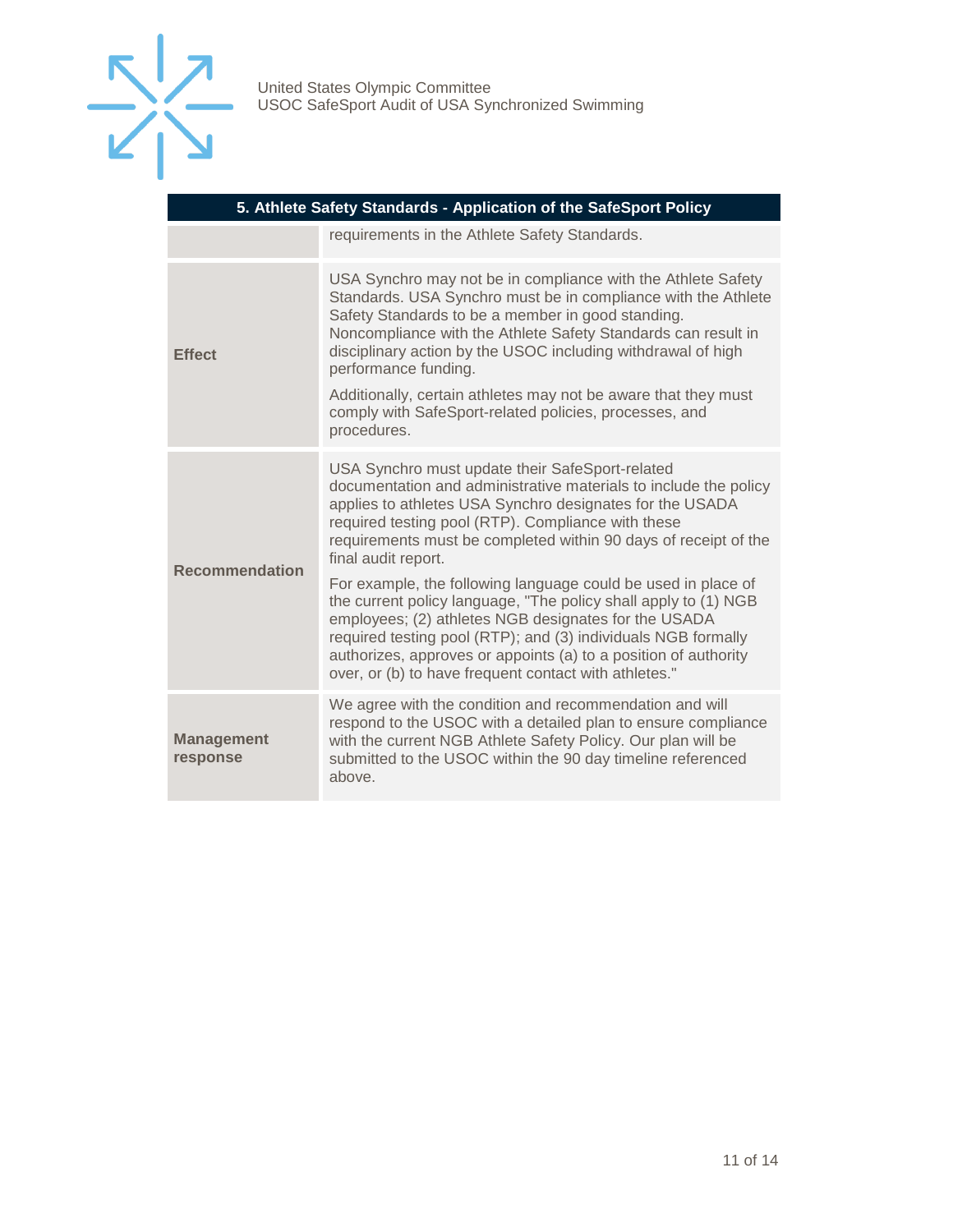

| 5. Athlete Safety Standards - Application of the SafeSport Policy |                                                                                                                                                                                                                                                                                                                                                                                       |  |
|-------------------------------------------------------------------|---------------------------------------------------------------------------------------------------------------------------------------------------------------------------------------------------------------------------------------------------------------------------------------------------------------------------------------------------------------------------------------|--|
|                                                                   | requirements in the Athlete Safety Standards.                                                                                                                                                                                                                                                                                                                                         |  |
| <b>Effect</b>                                                     | USA Synchro may not be in compliance with the Athlete Safety<br>Standards. USA Synchro must be in compliance with the Athlete<br>Safety Standards to be a member in good standing.<br>Noncompliance with the Athlete Safety Standards can result in<br>disciplinary action by the USOC including withdrawal of high<br>performance funding.                                           |  |
|                                                                   | Additionally, certain athletes may not be aware that they must<br>comply with SafeSport-related policies, processes, and<br>procedures.                                                                                                                                                                                                                                               |  |
| <b>Recommendation</b>                                             | USA Synchro must update their SafeSport-related<br>documentation and administrative materials to include the policy<br>applies to athletes USA Synchro designates for the USADA<br>required testing pool (RTP). Compliance with these<br>requirements must be completed within 90 days of receipt of the<br>final audit report.                                                       |  |
|                                                                   | For example, the following language could be used in place of<br>the current policy language, "The policy shall apply to (1) NGB<br>employees; (2) athletes NGB designates for the USADA<br>required testing pool (RTP); and (3) individuals NGB formally<br>authorizes, approves or appoints (a) to a position of authority<br>over, or (b) to have frequent contact with athletes." |  |
| <b>Management</b><br>response                                     | We agree with the condition and recommendation and will<br>respond to the USOC with a detailed plan to ensure compliance<br>with the current NGB Athlete Safety Policy. Our plan will be<br>submitted to the USOC within the 90 day timeline referenced<br>above.                                                                                                                     |  |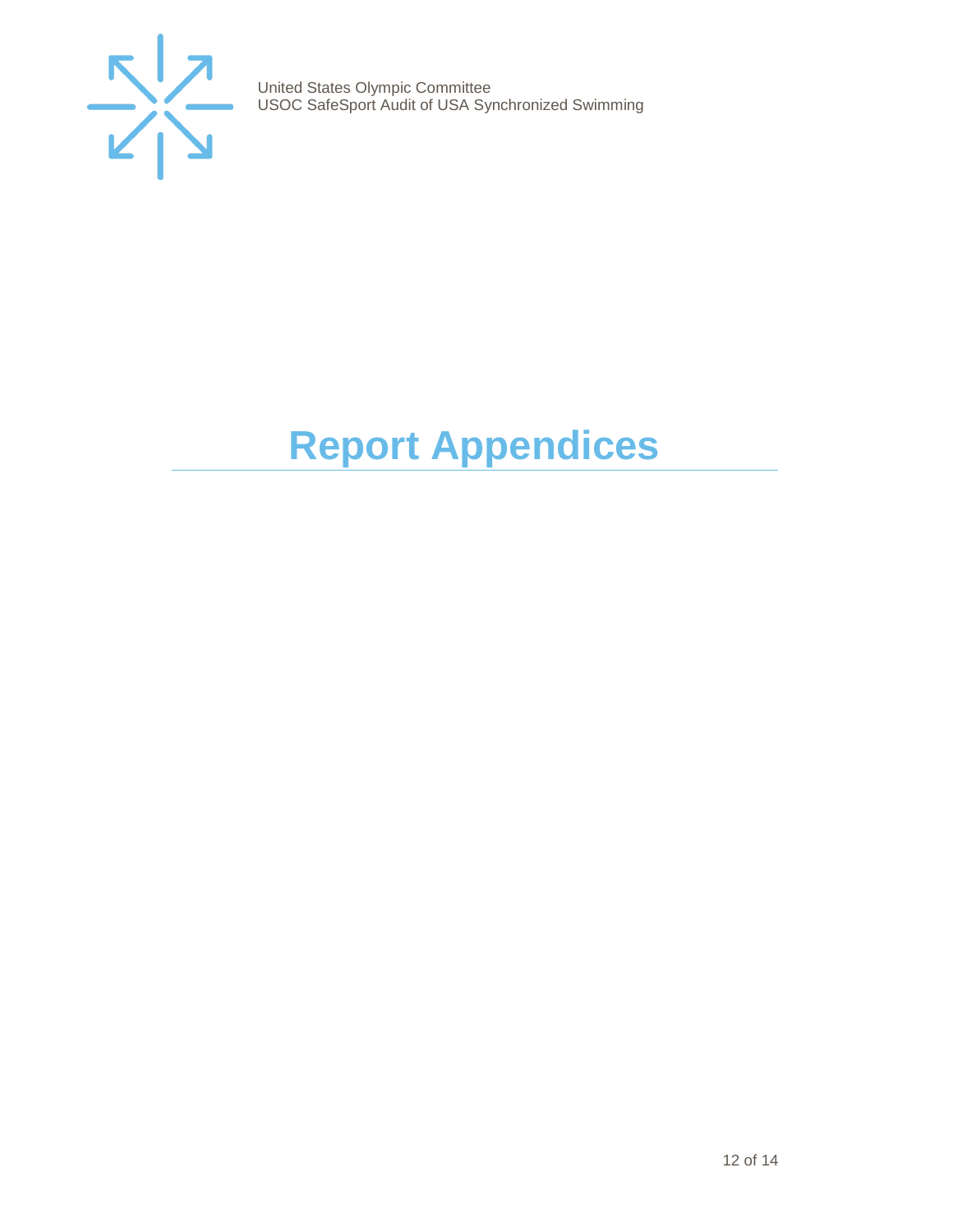

# <span id="page-11-0"></span>**Report Appendices**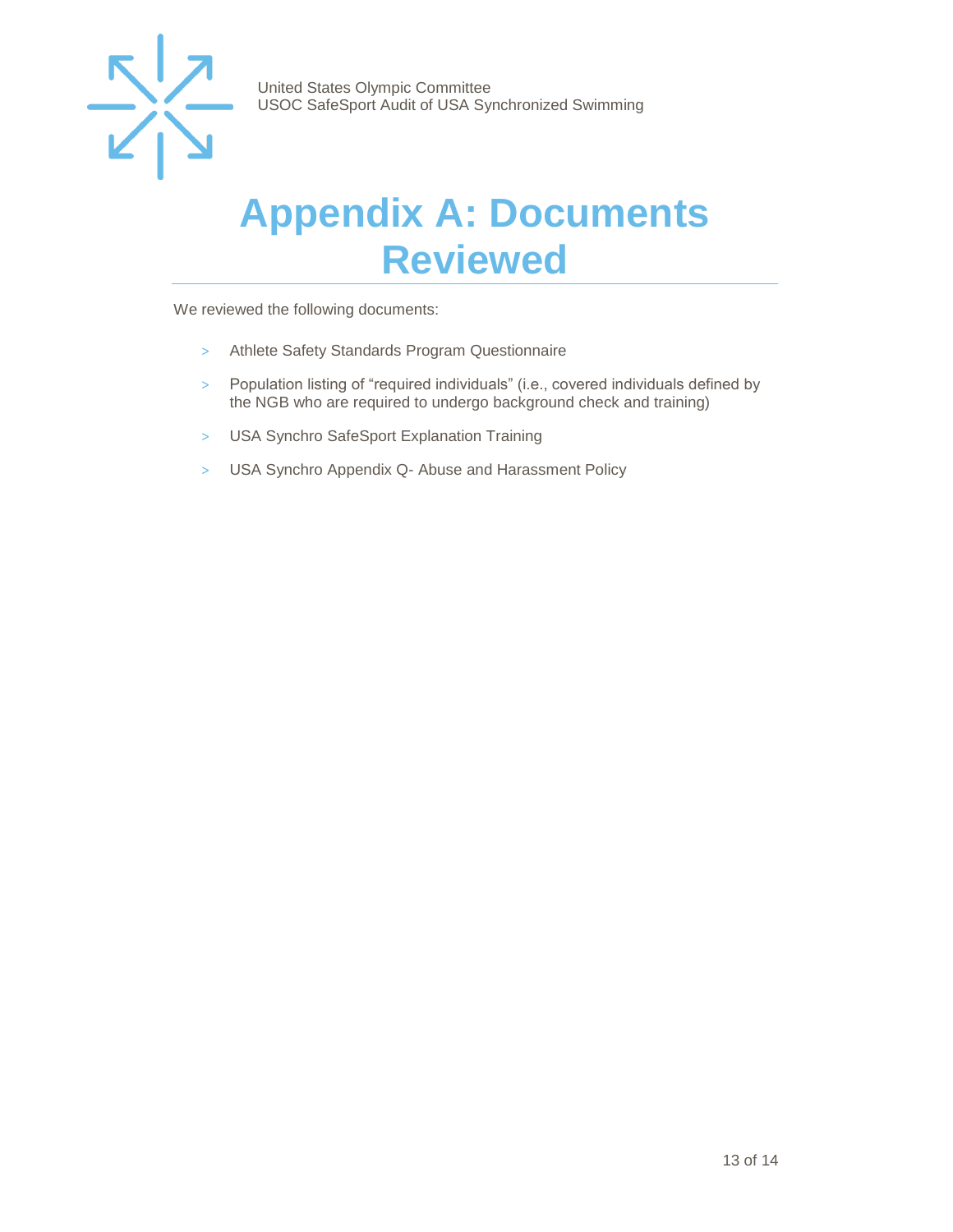

### <span id="page-12-0"></span>**Appendix A: Documents Reviewed**

We reviewed the following documents:

- > Athlete Safety Standards Program Questionnaire
- > Population listing of "required individuals" (i.e., covered individuals defined by the NGB who are required to undergo background check and training)
- > USA Synchro SafeSport Explanation Training
- > USA Synchro Appendix Q- Abuse and Harassment Policy